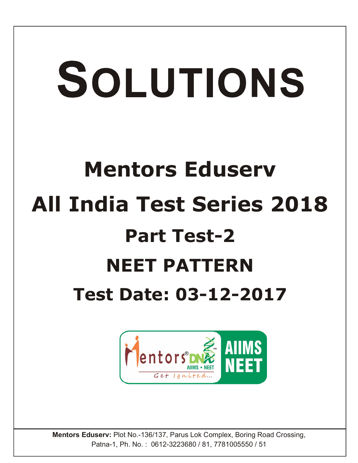# SOLUTIONS

# **Mentors Eduserv All India Test Series 2018 Part Test-2 NEET PATTERN Test Date: 03-12-2017**



**Mentors Eduserv:** Plot No.-136/137, Parus Lok Complex, Boring Road Crossing, Patna-1, Ph. No. : 0612-3223680 / 81, 7781005550 / 51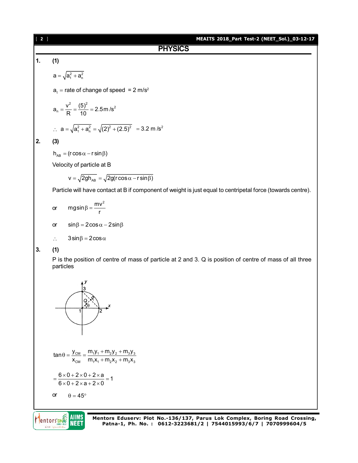| $[2]$          | MEAITS 2018_Part Test-2 (NEET_Sol.)_03-12-17                                                                          |  |  |  |  |  |  |  |  |  |
|----------------|-----------------------------------------------------------------------------------------------------------------------|--|--|--|--|--|--|--|--|--|
|                | <b>PHYSICS</b>                                                                                                        |  |  |  |  |  |  |  |  |  |
| $\mathbf{1}$ . | (1)                                                                                                                   |  |  |  |  |  |  |  |  |  |
|                | $a = \sqrt{a_1^2 + a_n^2}$                                                                                            |  |  |  |  |  |  |  |  |  |
|                | $at$ = rate of change of speed = 2 m/s <sup>2</sup>                                                                   |  |  |  |  |  |  |  |  |  |
|                | $a_n = \frac{v^2}{R} = \frac{(5)^2}{10} = 2.5$ m/s <sup>2</sup>                                                       |  |  |  |  |  |  |  |  |  |
|                | ∴ $a = \sqrt{a_1^2 + a_0^2} = \sqrt{(2)^2 + (2.5)^2} = 3.2$ m/s <sup>2</sup>                                          |  |  |  |  |  |  |  |  |  |
| 2.             | (3)                                                                                                                   |  |  |  |  |  |  |  |  |  |
|                | $h_{AB} = (r \cos \alpha - r \sin \beta)$                                                                             |  |  |  |  |  |  |  |  |  |
|                | Velocity of particle at B                                                                                             |  |  |  |  |  |  |  |  |  |
|                | $v = \sqrt{2gh_{AB}} = \sqrt{2g(r\cos\alpha - r\sin\beta)}$                                                           |  |  |  |  |  |  |  |  |  |
|                | Particle will have contact at B if component of weight is just equal to centripetal force (towards centre).           |  |  |  |  |  |  |  |  |  |
|                | $mg\sin\beta = \frac{mv^2}{r}$<br>or                                                                                  |  |  |  |  |  |  |  |  |  |
|                | $\sin\beta = 2\cos\alpha - 2\sin\beta$<br>or                                                                          |  |  |  |  |  |  |  |  |  |
|                | $3\sin\beta = 2\cos\alpha$<br>$\ddot{\cdot}$ .                                                                        |  |  |  |  |  |  |  |  |  |
| 3.             | (1)                                                                                                                   |  |  |  |  |  |  |  |  |  |
|                | P is the position of centre of mass of particle at 2 and 3. Q is position of centre of mass of all three<br>particles |  |  |  |  |  |  |  |  |  |
|                | $\frac{Q}{36}$                                                                                                        |  |  |  |  |  |  |  |  |  |

$$
\tan \theta = \frac{y_{\text{CM}}}{x_{\text{CM}}} = \frac{m_1 y_1 + m_2 y_2 + m_3 y_3}{m_1 x_1 + m_2 x_2 + m_3 x_3}
$$

$$
= \frac{6 \times 0 + 2 \times 0 + 2 \times a}{6 \times 0 + 2 \times a + 2 \times 0} = 1
$$

or  $\theta = 45^{\circ}$ 

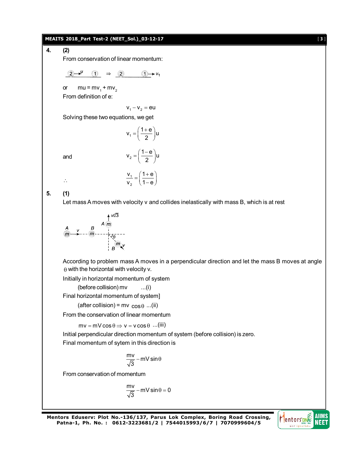#### **MEAITS 2018\_Part Test-2 (NEET\_Sol.)\_03-12-17** [ **3** ]

**4. (2)**

From conservation of linear momentum:

$$
2 \rightarrow^{\mathsf{U}} (1) \Rightarrow 2 \qquad 1 \rightarrow \mathsf{V}_1
$$

or  $mu = mv_1 + mv_2$ From definition of e:

 $V_1 - V_2 = eU$ 

 $v_1 = \left(\frac{1+e}{2}\right)u$  $=\left(\frac{1+e}{2}\right)$ u

 $v_2 = \left(\frac{1-e}{2}\right)u$  $=\left(\frac{1-e}{2}\right)$ u

1

Solving these two equations, we get

and

 $\mathcal{L}_{\star}$ 

$$
\frac{\mathsf{v}_1}{\mathsf{v}_2} = \left(\frac{1+\mathsf{e}}{1-\mathsf{e}}\right)
$$

**5. (1)**

Let mass A moves with velocity v and collides inelastically with mass B, which is at rest

A V 
$$
u/3
$$
  
\n $m$  A m  
\n $\overline{m}$  A m  
\n $\overline{m}$   
\n $\overline{m}$   
\nB W/3

According to problem mass A moves in a perpendicular direction and let the mass B moves at angle  $\theta$  with the horizontal with velocity v.

Initially in horizontal momentum of system

(before collision) mv ...(i)

Final horizontal momentum of system]

(after collision) =  $mv cos \theta$  ...(ii)

From the conservation of linear momentum

 $mv = mV \cos \theta \Rightarrow v = v \cos \theta$  ...(iii)

Initial perpendicular direction momentum of system (before collision) is zero.

Final momentum of sytem in this direction is

$$
\frac{\mathsf{m} \mathsf{v}}{\sqrt{3}} - \mathsf{m} \mathsf{V} \, \mathsf{sin} \theta
$$

From conservation of momentum

$$
\frac{mv}{\sqrt{3}} - mV \sin \theta = 0
$$

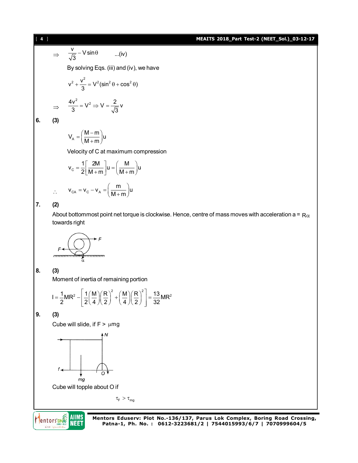# [ **4** ] **MEAITS 2018\_Part Test-2 (NEET\_Sol.)\_03-12-17**

$$
\Rightarrow \frac{v}{\sqrt{3}} - V \sin \theta \qquad ...(iv)
$$
  
By solving Eqs. (iii) and (iv), we have  

$$
v^2 + \frac{v^2}{3} = V^2 (\sin^2 \theta + \cos^2 \theta)
$$

$$
\Rightarrow \frac{4v^2}{3} = V^2 \Rightarrow V = \frac{2}{\sqrt{3}} v
$$
  
6. (3)

$$
V_A = \left(\frac{M-m}{M+m}\right)u
$$

Velocity of C at maximum compression

$$
v_{C} = \frac{1}{2} \left[ \frac{2M}{M+m} \right] u = \left( \frac{M}{M+m} \right) u
$$

$$
v_{CA} = v_{C} - v_{A} = \left( \frac{m}{M+m} \right) u
$$

# **7. (2)**

 $\mathcal{L}_{\text{c}}$ 

About bottommost point net torque is clockwise. Hence, centre of mass moves with acceleration a =  $R\alpha$ towards right



# **8. (3)**

Moment of inertia of remaining portion

$$
I = \frac{1}{2}MR^{2} - \left[\frac{1}{2}\left(\frac{M}{4}\right)\left(\frac{R}{2}\right)^{2} + \left(\frac{M}{4}\right)\left(\frac{R}{2}\right)^{2}\right] = \frac{13}{32}MR^{2}
$$

#### **9. (3)**

Cube will slide, if  $F > \mu mg$ 



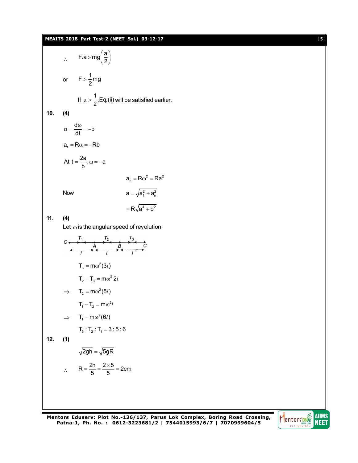# **MEAITS 2018\_Part Test-2 (NEET\_Sol.)\_03-12-17** [ **5** ]

F.a > mg $\left(\frac{a}{2}\right)$  $>\text{mg}\left(\frac{a}{2}\right)$  $\mathcal{L}_{\bullet}$ or  $F > \frac{1}{2}mg$ If  $\mu > \frac{1}{2}$ , Eq, (ii) will be satisfied earlier. **10. (4)**  $\alpha = \frac{d\omega}{dt} = -b$  $\frac{d\omega}{dt} = -b$  $a_t = R\alpha = -Rb$ At  $t = \frac{2a}{b}$ ,  $\omega = -a$  $a_n = R\omega^2 = Ra^2$ Now  $a = \sqrt{a_1^2 + a_n^2}$  $=R\sqrt{a^4+b^2}$ **11. (4)** Let  $\omega$  is the angular speed of revolution.  $T_3 = m \omega^2 (3 l)$  $T_2 - T_3 = m\omega^2 2l$  $\implies$  T<sub>2</sub> = m $\omega^2$ (5*l*)  $T_1 - T_2 = m\omega^2 l$  $\implies$  T<sub>1</sub> = m $\omega^2$ (6*l*)  $T_3 : T_2 : T_1 = 3 : 5 : 6$ **12. (1)**  $\sqrt{2gh} = \sqrt{5gR}$  $\therefore$  R =  $\frac{2h}{5}$  =  $\frac{2\times5}{5}$  = 2cm  $=\frac{2h}{\pi}=\frac{2\times 5}{\pi}=2$ 

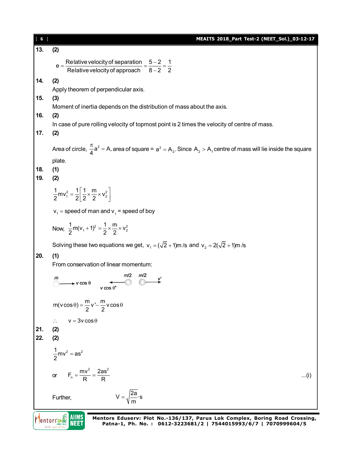| $\sqrt{6}$ | MEAITS 2018_Part Test-2 (NEET_Sol.)_03-12-17                                                                                        |  |  |  |  |  |  |  |  |  |  |
|------------|-------------------------------------------------------------------------------------------------------------------------------------|--|--|--|--|--|--|--|--|--|--|
| 13.        | (2)                                                                                                                                 |  |  |  |  |  |  |  |  |  |  |
|            |                                                                                                                                     |  |  |  |  |  |  |  |  |  |  |
|            | $e = \frac{Relative velocity of separation}{Relative velocity of approach} = \frac{5-2}{8-2} = \frac{1}{2}$                         |  |  |  |  |  |  |  |  |  |  |
| 14.        | (2)                                                                                                                                 |  |  |  |  |  |  |  |  |  |  |
|            | Apply theorem of perpendicular axis.                                                                                                |  |  |  |  |  |  |  |  |  |  |
| 15.        | (3)                                                                                                                                 |  |  |  |  |  |  |  |  |  |  |
| 16.        | Moment of inertia depends on the distribution of mass about the axis.<br>(2)                                                        |  |  |  |  |  |  |  |  |  |  |
|            | In case of pure rolling velocity of topmost point is 2 times the velocity of centre of mass.                                        |  |  |  |  |  |  |  |  |  |  |
| 17.        | (2)                                                                                                                                 |  |  |  |  |  |  |  |  |  |  |
|            |                                                                                                                                     |  |  |  |  |  |  |  |  |  |  |
|            | Area of circle, $\frac{\pi}{4}a^2 = A$ , area of square = $a^2 = A_2$ . Since $A_2 > A_1$ centre of mass will lie inside the square |  |  |  |  |  |  |  |  |  |  |
|            | plate.                                                                                                                              |  |  |  |  |  |  |  |  |  |  |
| 18.<br>19. | (1)                                                                                                                                 |  |  |  |  |  |  |  |  |  |  |
|            | (2)                                                                                                                                 |  |  |  |  |  |  |  |  |  |  |
|            | $\frac{1}{2}mv_1^2 = \frac{1}{2} \left[ \frac{1}{2} \times \frac{m}{2} \times v_2^2 \right]$                                        |  |  |  |  |  |  |  |  |  |  |
|            |                                                                                                                                     |  |  |  |  |  |  |  |  |  |  |
|            | $v_1$ = speed of man and $v_1$ = speed of boy                                                                                       |  |  |  |  |  |  |  |  |  |  |
|            | Now, $\frac{1}{2}m(v_1+1)^2 = \frac{1}{2} \times \frac{m}{2} \times v_2^2$                                                          |  |  |  |  |  |  |  |  |  |  |
|            | Solving these two equations we get, $v_1 = (\sqrt{2} + 1)$ m/s and $v_2 = 2(\sqrt{2} + 1)$ m/s                                      |  |  |  |  |  |  |  |  |  |  |
| 20.        | (1)                                                                                                                                 |  |  |  |  |  |  |  |  |  |  |
|            | From conservation of linear momentum:                                                                                               |  |  |  |  |  |  |  |  |  |  |
|            | m/2                                                                                                                                 |  |  |  |  |  |  |  |  |  |  |
|            | $\blacktriangleright$ v cos $\theta$                                                                                                |  |  |  |  |  |  |  |  |  |  |
|            |                                                                                                                                     |  |  |  |  |  |  |  |  |  |  |
|            | $m(v \cos \theta) = \frac{m}{2}v' - \frac{m}{2}v \cos \theta$                                                                       |  |  |  |  |  |  |  |  |  |  |
|            | $v = 3v \cos \theta$<br>$\ddot{\cdot}$                                                                                              |  |  |  |  |  |  |  |  |  |  |
| 21.        | (2)                                                                                                                                 |  |  |  |  |  |  |  |  |  |  |
| 22.        | (2)                                                                                                                                 |  |  |  |  |  |  |  |  |  |  |
|            | $\frac{1}{2}mv^2 = as^2$                                                                                                            |  |  |  |  |  |  |  |  |  |  |
|            |                                                                                                                                     |  |  |  |  |  |  |  |  |  |  |
|            | $F_n = \frac{mv^2}{R} = \frac{2as^2}{R}$<br>or<br>$\dots(i)$                                                                        |  |  |  |  |  |  |  |  |  |  |
|            |                                                                                                                                     |  |  |  |  |  |  |  |  |  |  |
|            | $V = \sqrt{\frac{2a}{m}} \cdot s$<br>Further,                                                                                       |  |  |  |  |  |  |  |  |  |  |
|            |                                                                                                                                     |  |  |  |  |  |  |  |  |  |  |
|            | AIIMS<br>Mentors Eduserv: Plot No.-136/137, Parus Lok Complex, Boring Road Crossing,                                                |  |  |  |  |  |  |  |  |  |  |
|            | NEET<br>Patna-1, Ph. No.: 0612-3223681/2   7544015993/6/7   7070999604/5                                                            |  |  |  |  |  |  |  |  |  |  |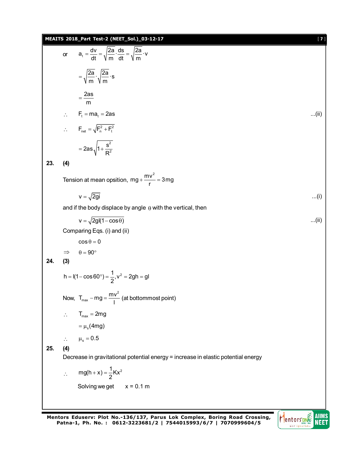| MEAITS 2018_Part Test-2 (NEET_Sol.)_03-12-17<br>$[7]$ |                                                                                   |                                                                                               |      |  |  |  |  |  |  |  |  |
|-------------------------------------------------------|-----------------------------------------------------------------------------------|-----------------------------------------------------------------------------------------------|------|--|--|--|--|--|--|--|--|
|                                                       | or                                                                                | $a_t = \frac{dv}{dt} = \sqrt{\frac{2a}{m} \cdot \frac{ds}{dt}} = \sqrt{\frac{2a}{m} \cdot v}$ |      |  |  |  |  |  |  |  |  |
|                                                       |                                                                                   | $=\sqrt{\frac{2a}{m}}\cdot\sqrt{\frac{2a}{m}}\cdot s$                                         |      |  |  |  |  |  |  |  |  |
|                                                       |                                                                                   | $=\frac{2as}{m}$                                                                              |      |  |  |  |  |  |  |  |  |
|                                                       | $\mathcal{L}_{\mathcal{L}}$                                                       | $F_t = ma_t = 2as$                                                                            | (ii) |  |  |  |  |  |  |  |  |
|                                                       |                                                                                   | $\therefore$ $F_{\text{net}} = \sqrt{F_{n}^{2} + F_{t}^{2}}$                                  |      |  |  |  |  |  |  |  |  |
|                                                       |                                                                                   | $=2as\sqrt{1+\frac{s^2}{R^2}}$                                                                |      |  |  |  |  |  |  |  |  |
| 23.                                                   | (4)                                                                               |                                                                                               |      |  |  |  |  |  |  |  |  |
|                                                       |                                                                                   | Tension at mean opsition, $mg + \frac{mv^2}{r} = 3mg$                                         |      |  |  |  |  |  |  |  |  |
|                                                       |                                                                                   | $v = \sqrt{2gi}$                                                                              | (i)  |  |  |  |  |  |  |  |  |
|                                                       | and if the body displace by angle $\theta$ with the vertical, then                |                                                                                               |      |  |  |  |  |  |  |  |  |
|                                                       |                                                                                   | $v = \sqrt{2gl(1-\cos\theta)}$                                                                | (ii) |  |  |  |  |  |  |  |  |
|                                                       | Comparing Eqs. (i) and (ii)                                                       |                                                                                               |      |  |  |  |  |  |  |  |  |
|                                                       |                                                                                   | $\cos \theta = 0$                                                                             |      |  |  |  |  |  |  |  |  |
|                                                       | $\Rightarrow$                                                                     | $\theta = 90^{\circ}$                                                                         |      |  |  |  |  |  |  |  |  |
| 24.                                                   | (3)                                                                               |                                                                                               |      |  |  |  |  |  |  |  |  |
|                                                       | $h = I(1 - \cos 60^\circ) = \frac{1}{2}, v^2 = 2gh = gl$                          |                                                                                               |      |  |  |  |  |  |  |  |  |
|                                                       |                                                                                   | Now, $T_{max} - mg = \frac{mv^2}{I}$ (at bottommost point)                                    |      |  |  |  |  |  |  |  |  |
|                                                       |                                                                                   | $\therefore$ T <sub>max</sub> = 2mg                                                           |      |  |  |  |  |  |  |  |  |
|                                                       |                                                                                   | $=\mu_{\rm s}(4mg)$                                                                           |      |  |  |  |  |  |  |  |  |
|                                                       | $\mathcal{L}_{\text{eff}}$                                                        | $\mu_{\rm s}=0.5$                                                                             |      |  |  |  |  |  |  |  |  |
| 25.                                                   | (4)                                                                               |                                                                                               |      |  |  |  |  |  |  |  |  |
|                                                       | Decrease in gravitational potential energy = increase in elastic potential energy |                                                                                               |      |  |  |  |  |  |  |  |  |
|                                                       | $\ddot{\cdot}$                                                                    | $mg(h + x) = \frac{1}{2}Kx^2$                                                                 |      |  |  |  |  |  |  |  |  |
|                                                       |                                                                                   | Solving we get $x = 0.1$ m                                                                    |      |  |  |  |  |  |  |  |  |
|                                                       |                                                                                   |                                                                                               |      |  |  |  |  |  |  |  |  |
|                                                       |                                                                                   |                                                                                               |      |  |  |  |  |  |  |  |  |

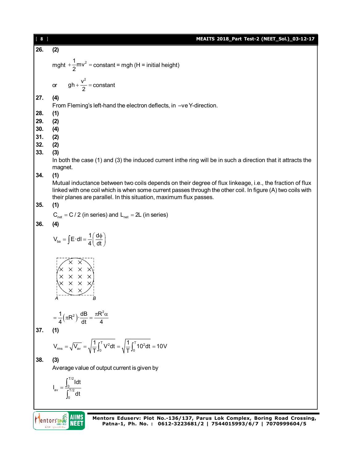| [ 8 ]          | MEAITS 2018_Part Test-2 (NEET_Sol.)_03-12-17                                                                                                                                                                                                       |
|----------------|----------------------------------------------------------------------------------------------------------------------------------------------------------------------------------------------------------------------------------------------------|
| 26.            | (2)                                                                                                                                                                                                                                                |
|                | mght $+\frac{1}{2}mv^2$ = constant = mgh (H = initial height)                                                                                                                                                                                      |
|                | gh + $\frac{v^2}{2}$ = constant<br>or                                                                                                                                                                                                              |
| 27.            | (4)                                                                                                                                                                                                                                                |
| 28.            | From Fleming's left-hand the electron deflects, in -ve Y-direction.<br>(1)                                                                                                                                                                         |
| 29.            | (2)                                                                                                                                                                                                                                                |
| 30.            | (4)                                                                                                                                                                                                                                                |
| 31.            | (2)                                                                                                                                                                                                                                                |
| 32.<br>33.     | (2)                                                                                                                                                                                                                                                |
|                | (3)<br>In both the case (1) and (3) the induced current inthe ring will be in such a direction that it attracts the                                                                                                                                |
|                | magnet.                                                                                                                                                                                                                                            |
| 34.            | (1)                                                                                                                                                                                                                                                |
|                | Mutual inductance between two coils depends on their degree of flux linkeage, i.e., the fraction of flux                                                                                                                                           |
|                | linked with one coil which is when some current passes through the other coil. In figure (A) two coils with<br>their planes are parallel. In this situation, maximum flux passes.                                                                  |
| 35.            | (1)                                                                                                                                                                                                                                                |
|                | $C_{\text{net}} = C / 2$ (in series) and $L_{\text{net}} = 2L$ (in series)                                                                                                                                                                         |
| 36.            | (4)                                                                                                                                                                                                                                                |
|                | $V_{ba} = \int E \cdot dl = \frac{1}{4} \left( \frac{d\phi}{dt} \right)$                                                                                                                                                                           |
|                | $\begin{array}{c}\n\begin{array}{c}\n\times \times \times \times \\ \times \times \times \times \\ \times \times \times \times\n\end{array} \\ \begin{array}{c}\n\times \times \times \\ \times \times \times\n\end{array}\n\end{array}$<br>А<br>в |
|                | $=\frac{1}{4}(\pi R^2)\cdot\frac{dB}{dt}=\frac{\pi R^2\alpha}{4}$                                                                                                                                                                                  |
| 37.            | (1)                                                                                                                                                                                                                                                |
|                | $V_{\text{rms}} = \sqrt{V_{\text{av}}} = \sqrt{\frac{1}{T} \int_0^T V^2 dt} = \sqrt{\frac{1}{T} \int_0^T 10^2 dt} = 10V$                                                                                                                           |
| 38.            | (3)                                                                                                                                                                                                                                                |
|                | Average value of output current is given by                                                                                                                                                                                                        |
|                | $I_{av} = \frac{\int_{0}^{T/2} I dt}{\int_{0}^{T/2} dt}$                                                                                                                                                                                           |
|                |                                                                                                                                                                                                                                                    |
| <b>Tentors</b> | IIIMS<br>Mentors Eduserv: Plot No.-136/137, Parus Lok Complex, Boring Road Crossing,<br>Patna-1, Ph. No.: 0612-3223681/2   7544015993/6/7   7070999604/5                                                                                           |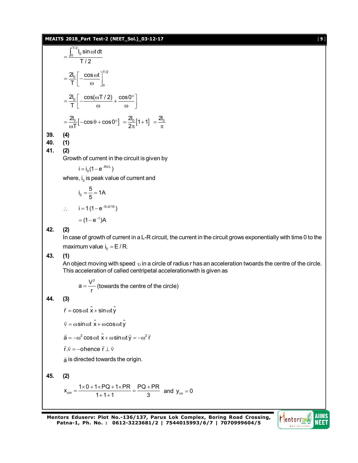#### **MEAITS 2018\_Part Test-2 (NEET\_Sol.)\_03-12-17** [ **9** ]

$$
= \frac{\int_0^{T/2} I_0 \sin \omega t dt}{T/2}
$$
  
\n
$$
= \frac{2I_0}{T} \left[ -\frac{\cos \omega t}{\omega} \right]_0^{T/2}
$$
  
\n
$$
= \frac{2I_0}{T} \left[ -\frac{\cos(\omega T/2)}{\omega} + \frac{\cos 0^{\circ}}{\omega} \right]
$$
  
\n
$$
= \frac{2I_0}{\omega T} \left[ -\cos \theta + \cos 0^{\circ} \right] = \frac{2I_0}{2\pi} [1 + 1] = \frac{2I_0}{\pi}
$$
  
\n39. (4)  
\n40. (1)

**41. (2)**

Growth of current in the circuit is given by

$$
i = i_0 (1 - e^{-Rt/L})
$$

where, i<sub>0</sub> is peak value of current and

$$
i_0 = \frac{5}{5} = 1A
$$
  
i = 1 (1 - e<sup>-5×2/10</sup>)  
= (1 - e<sup>-1</sup>)A

**42. (2)**

 $\mathbb{R}^{\mathbb{Z}}$ 

In case of growth of current in a L-R circuit, the current in the circuit grows exponentially with time 0 to the maximum value  $i_0 = E / R$ .

**43. (1)**

An object moving with speed  $\upsilon$  in a circle of radius r has an acceleration twoards the centre of the circle. This acceleration of called centripetal accelerationwith is given as

 $a = \frac{V^2}{r}$  (towards the centre of the circle)

## **44. (3)**

 $\vec{r}$  = cos  $\omega t \hat{x}$  + sin  $\omega t \hat{y}$ 

 $\vec{v} = \omega \sin \omega t \hat{x} + \omega \cos \omega t \hat{y}$ 

 $\vec{a} = -\omega^2 \cos \omega t \hat{x} + \omega \sin \omega t \vec{y} = -\omega^2 \vec{r}$ 

 $\vec{r}.\vec{v}$  = –ohence  $\vec{r} \perp \vec{v}$ 

a is directed towards the origin.

45. (2)  
\n
$$
x_{cm} = \frac{1 \times 0 + 1 \times PQ + 1 \times PR}{1 + 1 + 1} = \frac{PQ + PR}{3}
$$
 and  $y_{cm} = 0$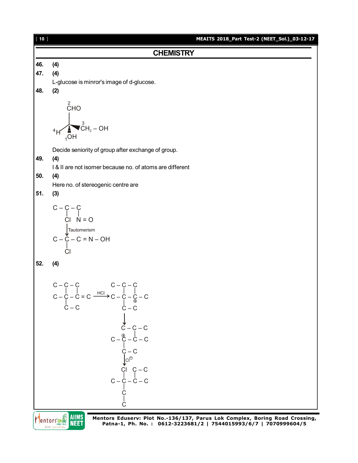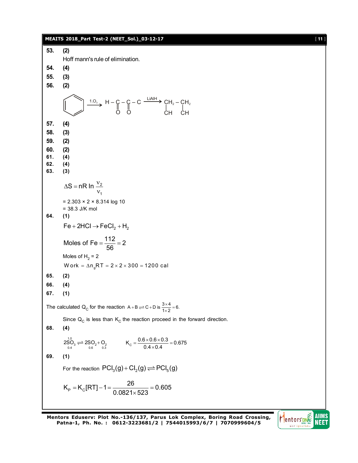#### **MEAITS 2018\_Part Test-2 (NEET\_Sol.)\_03-12-17** [ **11** ] **53. (2)** Hoff mann's rule of elimination. **54. (4) 55. (3) 56. (2)**  $\frac{1.0}{3}$ , H – C – C – C  $\frac{\text{LiAlH}}{}$ CH  $C - C - C \xrightarrow{\text{max}} CH_2 - CH_2$ O | | O | CH | **57. (4) 58. (3) 59. (2) 60. (2) 61. (4) 62. (4) 63. (3)** 2 1  $\Delta S$  = nR In  $\frac{v}{c}$  $\mathsf{v}$  $= 2.303 \times 2 \times 8.314$  log 10 = 38.3 J/K mol **64. (1)**  $Fe + 2HCl \rightarrow FeCl<sub>2</sub> + H<sub>2</sub>$ Moles of Fe =  $\frac{112}{52}$  = 2 56  $=\frac{1}{50}$  = 2 Moles of  $H<sub>2</sub>$  = 2 W ork =  $\Delta n_qRT = 2 \times 2 \times 300 = 1200$  cal **65. (2) 66. (4) 67. (1)** The calculated Q<sub>C</sub> for the reaction A + B  $\rightleftharpoons$  C + D is  $\frac{3\times4}{1\times2}$  = 6.  $+B \rightleftharpoons C+D$  is  $\frac{3\times 4}{1\times 2} = 6$ Since  $Q_{\text{C}}$  is less than  $\text{K}_{\text{C}}$  the reaction proceed in the forward direction. **68. (4)** 1.0  $X_{\rm C} = \frac{0.6 \times 0.6 \times 0.3}{0.4 \times 0.4} = 0.675$ <br> $X_{\rm C} = \frac{0.6 \times 0.6 \times 0.3}{0.4 \times 0.4} = 0.675$  $=\frac{0.6\times0.6\times0.3}{0.4\times0.4}=0$ **69. (1)** For the reaction  $\text{PCI}_3(g) + \text{Cl}_2(g) \rightleftharpoons \text{PCI}_5(g)$  $K_p = K_c [RT] - 1 = \frac{26}{0.0831 + 533} = 0.605$  $0.0821 \times 523$  $=$  K<sub>c</sub>[RT] – 1 =  $\frac{28}{0.0004}$  = 0.000 = 0.000 = 0.000 = 0.000 = 0.000 = 0.000 = 0.000 = 0.000 = 0.000 = 0.000 = 0.000 = 0.000 = 0.000 = 0.000 = 0.000 = 0.000 = 0.000 = 0.000 = 0.000 = 0.000 = 0.000 = 0.000 = 0.000 =  $\times$

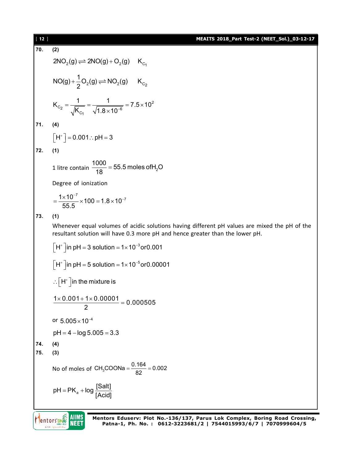| $[12]$ | MEAITS 2018_Part Test-2 (NEET_Sol.)_03-12-17                                                                                                                                   |  |  |  |  |  |  |  |  |  |
|--------|--------------------------------------------------------------------------------------------------------------------------------------------------------------------------------|--|--|--|--|--|--|--|--|--|
| 70.    | (2)                                                                                                                                                                            |  |  |  |  |  |  |  |  |  |
|        | $2NO_2(g) \rightleftharpoons 2NO(g) + O_2(g)$ K <sub>C<sub>1</sub></sub>                                                                                                       |  |  |  |  |  |  |  |  |  |
|        | $NO(g) + \frac{1}{2}O_2(g) \rightleftharpoons NO_2(g)$ $K_{C_2}$                                                                                                               |  |  |  |  |  |  |  |  |  |
|        | $K_{C_2} = \frac{1}{\sqrt{K_{C_1}}} = \frac{1}{\sqrt{1.8 \times 10^{-6}}} = 7.5 \times 10^2$                                                                                   |  |  |  |  |  |  |  |  |  |
| 71.    | (4)                                                                                                                                                                            |  |  |  |  |  |  |  |  |  |
|        | $\left[\overline{H}^+\right] = 0.001$ : pH = 3                                                                                                                                 |  |  |  |  |  |  |  |  |  |
| 72.    | (1)                                                                                                                                                                            |  |  |  |  |  |  |  |  |  |
|        | 1 litre contain $\frac{1000}{18}$ = 55.5 moles of H <sub>2</sub> O                                                                                                             |  |  |  |  |  |  |  |  |  |
|        | Degree of ionization                                                                                                                                                           |  |  |  |  |  |  |  |  |  |
|        | $=\frac{1\times10^{-7}}{55.5}\times100=1.8\times10^{-7}$                                                                                                                       |  |  |  |  |  |  |  |  |  |
| 73.    | (1)                                                                                                                                                                            |  |  |  |  |  |  |  |  |  |
|        | Whenever equal volumes of acidic solutions having different pH values are mixed the pH of the<br>resultant solution will have 0.3 more pH and hence greater than the lower pH. |  |  |  |  |  |  |  |  |  |
|        | $\int H^*$ in pH = 3 solution = 1×10 <sup>-3</sup> or 0.001                                                                                                                    |  |  |  |  |  |  |  |  |  |
|        | $\int H^+$ in pH = 5 solution = 1×10 <sup>-5</sup> or 0.00001                                                                                                                  |  |  |  |  |  |  |  |  |  |
|        | $\therefore$ H <sup>+</sup> in the mixture is                                                                                                                                  |  |  |  |  |  |  |  |  |  |
|        | $1 \times 0.001 + 1 \times 0.00001 = 0.000505$                                                                                                                                 |  |  |  |  |  |  |  |  |  |
|        | or $5.005 \times 10^{-4}$                                                                                                                                                      |  |  |  |  |  |  |  |  |  |
|        | $pH = 4 - log 5.005 = 3.3$                                                                                                                                                     |  |  |  |  |  |  |  |  |  |
| 74.    | (4)                                                                                                                                                                            |  |  |  |  |  |  |  |  |  |
| 75.    | (3)                                                                                                                                                                            |  |  |  |  |  |  |  |  |  |
|        | No of moles of $CH_3COONa = \frac{0.164}{82} = 0.002$                                                                                                                          |  |  |  |  |  |  |  |  |  |
|        | $pH = PK_a + log \frac{[Salt]}{[Acid]}$                                                                                                                                        |  |  |  |  |  |  |  |  |  |
|        |                                                                                                                                                                                |  |  |  |  |  |  |  |  |  |

**Mentors DNAS AIIMS**